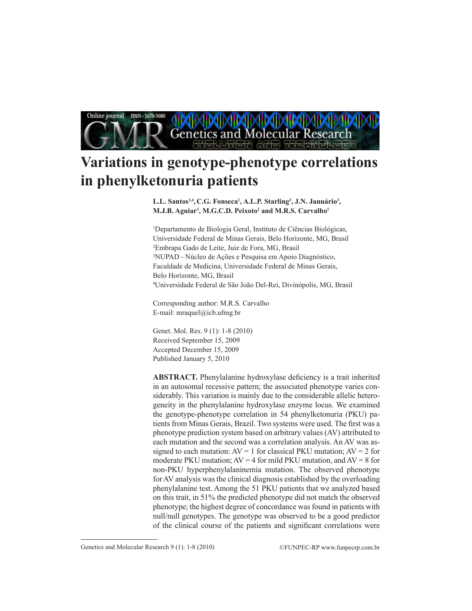

# **Variations in genotype-phenotype correlations in phenylketonuria patients**

**L.L. Santos1,4, C.G. Fonseca1 , A.L.P. Starling3 , J.N. Januário3 , M.J.B. Aguiar3 , M.G.C.D. Peixoto2 and M.R.S. Carvalho1**

1 Departamento de Biologia Geral, Instituto de Ciências Biológicas, Universidade Federal de Minas Gerais, Belo Horizonte, MG, Brasil 2 Embrapa Gado de Leite, Juiz de Fora, MG, Brasil 3 NUPAD - Núcleo de Ações e Pesquisa em Apoio Diagnóstico, Faculdade de Medicina, Universidade Federal de Minas Gerais, Belo Horizonte, MG, Brasil 4 Universidade Federal de São João Del-Rei, Divinópolis, MG, Brasil

Corresponding author: M.R.S. Carvalho E-mail: mraquel@icb.ufmg.br

Genet. Mol. Res. 9 (1): 1-8 (2010) Received September 15, 2009 Accepted December 15, 2009 Published January 5, 2010

**ABSTRACT.** Phenylalanine hydroxylase deficiency is a trait inherited in an autosomal recessive pattern; the associated phenotype varies considerably. This variation is mainly due to the considerable allelic heterogeneity in the phenylalanine hydroxylase enzyme locus. We examined the genotype-phenotype correlation in 54 phenylketonuria (PKU) patients from Minas Gerais, Brazil. Two systems were used. The first was a phenotype prediction system based on arbitrary values (AV) attributed to each mutation and the second was a correlation analysis. An AV was assigned to each mutation:  $AV = 1$  for classical PKU mutation;  $AV = 2$  for moderate PKU mutation;  $AV = 4$  for mild PKU mutation, and  $AV = 8$  for non-PKU hyperphenylalaninemia mutation. The observed phenotype for AV analysis was the clinical diagnosis established by the overloading phenylalanine test. Among the 51 PKU patients that we analyzed based on this trait, in 51% the predicted phenotype did not match the observed phenotype; the highest degree of concordance was found in patients with null/null genotypes. The genotype was observed to be a good predictor of the clinical course of the patients and significant correlations were

Genetics and Molecular Research 9 (1): 1-8 (2010) ©FUNPEC-RP www.funpecrp.com.br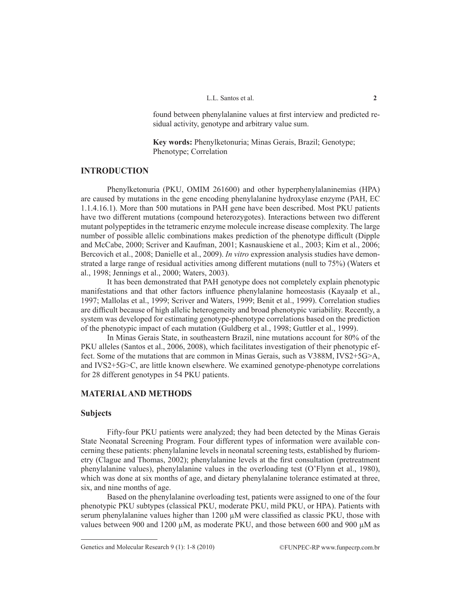found between phenylalanine values at first interview and predicted residual activity, genotype and arbitrary value sum.

**Key words:** Phenylketonuria; Minas Gerais, Brazil; Genotype; Phenotype; Correlation

#### **INTRODUCTION**

Phenylketonuria (PKU, OMIM 261600) and other hyperphenylalaninemias (HPA) are caused by mutations in the gene encoding phenylalanine hydroxylase enzyme (PAH, EC 1.1.4.16.1). More than 500 mutations in PAH gene have been described. Most PKU patients have two different mutations (compound heterozygotes). Interactions between two different mutant polypeptides in the tetrameric enzyme molecule increase disease complexity. The large number of possible allelic combinations makes prediction of the phenotype difficult (Dipple and McCabe, 2000; Scriver and Kaufman, 2001; Kasnauskiene et al., 2003; Kim et al., 2006; Bercovich et al., 2008; Danielle et al., 2009). *In vitro* expression analysis studies have demonstrated a large range of residual activities among different mutations (null to 75%) (Waters et al., 1998; Jennings et al., 2000; Waters, 2003).

It has been demonstrated that PAH genotype does not completely explain phenotypic manifestations and that other factors influence phenylalanine homeostasis (Kayaalp et al., 1997; Mallolas et al., 1999; Scriver and Waters, 1999; Benit et al., 1999). Correlation studies are difficult because of high allelic heterogeneity and broad phenotypic variability. Recently, a system was developed for estimating genotype-phenotype correlations based on the prediction of the phenotypic impact of each mutation (Guldberg et al., 1998; Guttler et al., 1999).

In Minas Gerais State, in southeastern Brazil, nine mutations account for 80% of the PKU alleles (Santos et al., 2006, 2008), which facilitates investigation of their phenotypic effect. Some of the mutations that are common in Minas Gerais, such as V388M, IVS2+5G>A, and IVS2+5G>C, are little known elsewhere. We examined genotype-phenotype correlations for 28 different genotypes in 54 PKU patients.

## **MATERIAL AND METHODS**

## **Subjects**

Fifty-four PKU patients were analyzed; they had been detected by the Minas Gerais State Neonatal Screening Program. Four different types of information were available concerning these patients: phenylalanine levels in neonatal screening tests, established by fluriometry (Clague and Thomas, 2002); phenylalanine levels at the first consultation (pretreatment phenylalanine values), phenylalanine values in the overloading test (O'Flynn et al., 1980), which was done at six months of age, and dietary phenylalanine tolerance estimated at three, six, and nine months of age.

Based on the phenylalanine overloading test, patients were assigned to one of the four phenotypic PKU subtypes (classical PKU, moderate PKU, mild PKU, or HPA). Patients with serum phenylalanine values higher than 1200  $\mu$ M were classified as classic PKU, those with values between 900 and 1200  $\mu$ M, as moderate PKU, and those between 600 and 900  $\mu$ M as

Genetics and Molecular Research 9 (1): 1-8 (2010) ©FUNPEC-RP www.funpecrp.com.br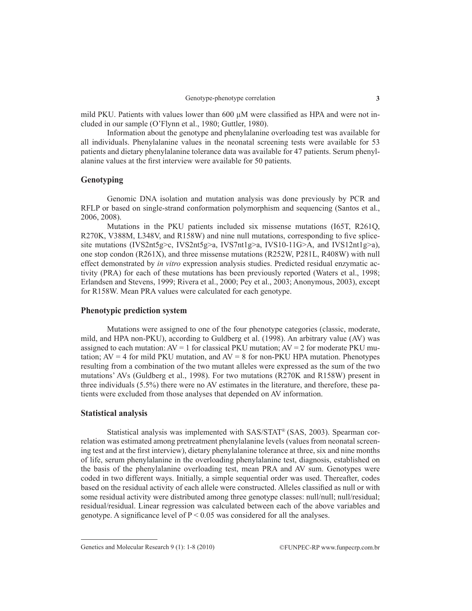mild PKU. Patients with values lower than  $600 \mu$ M were classified as HPA and were not included in our sample (O'Flynn et al., 1980; Guttler, 1980).

Information about the genotype and phenylalanine overloading test was available for all individuals. Phenylalanine values in the neonatal screening tests were available for 53 patients and dietary phenylalanine tolerance data was available for 47 patients. Serum phenylalanine values at the first interview were available for 50 patients.

## **Genotyping**

Genomic DNA isolation and mutation analysis was done previously by PCR and RFLP or based on single-strand conformation polymorphism and sequencing (Santos et al., 2006, 2008).

Mutations in the PKU patients included six missense mutations (I65T, R261Q, R270K, V388M, L348V, and R158W) and nine null mutations, corresponding to five splicesite mutations (IVS2nt5g>c, IVS2nt5g>a, IVS7nt1g>a, IVS10-11G>A, and IVS12nt1g>a), one stop condon (R261X), and three missense mutations (R252W, P281L, R408W) with null effect demonstrated by *in vitro* expression analysis studies. Predicted residual enzymatic activity (PRA) for each of these mutations has been previously reported (Waters et al., 1998; Erlandsen and Stevens, 1999; Rivera et al., 2000; Pey et al., 2003; Anonymous, 2003), except for R158W. Mean PRA values were calculated for each genotype.

#### **Phenotypic prediction system**

Mutations were assigned to one of the four phenotype categories (classic, moderate, mild, and HPA non-PKU), according to Guldberg et al. (1998). An arbitrary value (AV) was assigned to each mutation:  $AV = 1$  for classical PKU mutation;  $AV = 2$  for moderate PKU mutation;  $AV = 4$  for mild PKU mutation, and  $AV = 8$  for non-PKU HPA mutation. Phenotypes resulting from a combination of the two mutant alleles were expressed as the sum of the two mutations' AVs (Guldberg et al., 1998). For two mutations (R270K and R158W) present in three individuals (5.5%) there were no AV estimates in the literature, and therefore, these patients were excluded from those analyses that depended on AV information.

#### **Statistical analysis**

Statistical analysis was implemented with SAS/STAT® (SAS, 2003). Spearman correlation was estimated among pretreatment phenylalanine levels (values from neonatal screening test and at the first interview), dietary phenylalanine tolerance at three, six and nine months of life, serum phenylalanine in the overloading phenylalanine test, diagnosis, established on the basis of the phenylalanine overloading test, mean PRA and AV sum. Genotypes were coded in two different ways. Initially, a simple sequential order was used. Thereafter, codes based on the residual activity of each allele were constructed. Alleles classified as null or with some residual activity were distributed among three genotype classes: null/null; null/residual; residual/residual. Linear regression was calculated between each of the above variables and genotype. A significance level of  $P \le 0.05$  was considered for all the analyses.

Genetics and Molecular Research 9 (1): 1-8 (2010) ©FUNPEC-RP www.funpecrp.com.br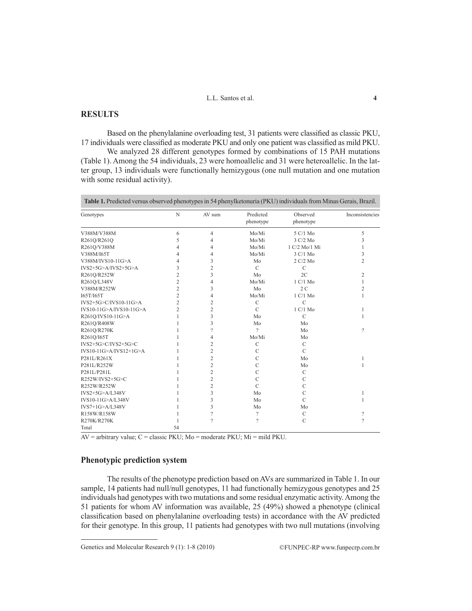## **RESULTS**

Based on the phenylalanine overloading test, 31 patients were classified as classic PKU, 17 individuals were classified as moderate PKU and only one patient was classified as mild PKU.

We analyzed 28 different genotypes formed by combinations of 15 PAH mutations (Table 1). Among the 54 individuals, 23 were homoallelic and 31 were heteroallelic. In the latter group, 13 individuals were functionally hemizygous (one null mutation and one mutation with some residual activity).

**Table 1.** Predicted versus observed phenotypes in 54 phenylketonuria (PKU) individuals from Minas Gerais, Brazil.

| Genotypes                | N              | AV sum         | Predicted<br>phenotype   | Observed<br>phenotype      | Inconsistencies          |
|--------------------------|----------------|----------------|--------------------------|----------------------------|--------------------------|
| V388M/V388M              | 6              | $\overline{4}$ | Mo/Mi                    | 5 C/1 Mo                   | 5                        |
| R261Q/R261Q              | 5              | 4              | Mo/Mi                    | 3 C/2 Mo                   | 3                        |
| R261Q/V388M              | 4              | 4              | Mo/Mi                    | 1 C/2 Mo/1 Mi              | 1                        |
| V388M/I65T               | 4              | 4              | Mo/Mi                    | $3 \text{ C}/1 \text{ Mo}$ | 3                        |
| V388M/IVS10-11G>A        | 4              | 3              | Mo                       | 2 C/2 Mo                   | $\overline{c}$           |
| $IVS2+5G>A/IVS2+5G>A$    | 3              | $\overline{c}$ | $\mathcal{C}$            | $\mathcal{C}$              |                          |
| R261Q/R252W              | 2              | 3              | Mo                       | 2C                         | $\overline{c}$           |
| R261Q/L348V              | 2              | 4              | Mo/Mi                    | 1 C/1 M <sub>0</sub>       | 1                        |
| V388M/R252W              | 2              | 3              | Mo                       | 2C                         | 2                        |
| I65T/I65T                | $\overline{c}$ | 4              | Mo/Mi                    | 1 C/1 Mo                   | 1                        |
| $IVS2+5G>C/IVS10-11G>A$  | 2              | $\overline{2}$ | $\mathsf{C}$             | $\mathcal{C}$              |                          |
| IVS10-11G>A/IVS10-11G>A  | $\overline{c}$ | 2              | $\mathcal{C}$            | 1 C/1 Mo                   | 1                        |
| R261Q/IVS10-11G>A        |                | 3              | Mo                       | $\mathcal{C}$              | 1                        |
| R261Q/R408W              |                | 3              | Mo                       | Mo                         |                          |
| R261Q/R270K              |                | 9              | 2                        | Mo                         | $\gamma$                 |
| R261Q/I65T               |                | 4              | Mo/Mi                    | Mo                         |                          |
| IVS2+5G>C/IVS2+5G>C      |                | 2              | $\mathcal{C}$            | $\mathcal{C}$              |                          |
| $IVS10-11G>A/IVS12+1G>A$ |                | 2              | $\mathcal{C}$            | $\mathcal{C}$              |                          |
| P281L/R261X              |                | $\overline{c}$ | $\overline{C}$           | Mo                         |                          |
| P281L/R252W              |                | 2              | $\mathcal{C}$            | Mo                         | 1                        |
| P281L/P281L              |                | $\overline{2}$ | $\mathcal{C}$            | $\mathcal{C}$              |                          |
| R252W/IVS2+5G>C          |                | 2              | $\mathcal{C}$            | $\mathcal{C}$              |                          |
| R252W/R252W              |                | $\overline{c}$ | $\overline{C}$           | $\mathcal{C}$              |                          |
| IVS2+5G>A/L348V          |                | 3              | Mo                       | $\mathcal{C}$              | 1                        |
| IVS10-11G>A/L348V        |                | 3              | Mo                       | $\mathcal{C}$              | 1                        |
| $IVS7+1G>A/L348V$        |                | 3              | Mo                       | Mo                         |                          |
| R158W/R158W              |                | $\gamma$       | $\overline{\phantom{a}}$ | $\mathcal{C}$              | $\gamma$                 |
| R270K/R270K              |                | $\gamma$       | $\overline{\mathcal{C}}$ | $\mathcal{C}$              | $\overline{\phantom{a}}$ |
| Total                    | 54             |                |                          |                            |                          |

 $\overline{AV}$  = arbitrary value;  $C$  = classic PKU;  $Mo$  = moderate PKU;  $Mi$  = mild PKU.

## **Phenotypic prediction system**

The results of the phenotype prediction based on AVs are summarized in Table 1. In our sample, 14 patients had null/null genotypes, 11 had functionally hemizygous genotypes and 25 individuals had genotypes with two mutations and some residual enzymatic activity. Among the 51 patients for whom AV information was available, 25 (49%) showed a phenotype (clinical classification based on phenylalanine overloading tests) in accordance with the AV predicted for their genotype. In this group, 11 patients had genotypes with two null mutations (involving

Genetics and Molecular Research 9 (1): 1-8 (2010) ©FUNPEC-RP www.funpecrp.com.br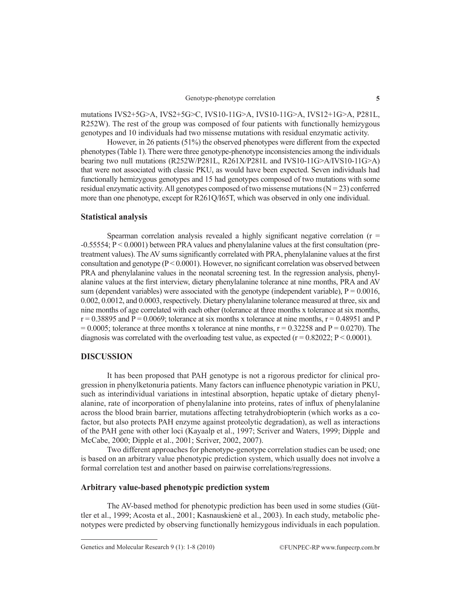mutations IVS2+5G>A, IVS2+5G>C, IVS10-11G>A, IVS10-11G>A, IVS12+1G>A, P281L, R252W). The rest of the group was composed of four patients with functionally hemizygous genotypes and 10 individuals had two missense mutations with residual enzymatic activity.

However, in 26 patients (51%) the observed phenotypes were different from the expected phenotypes (Table 1). There were three genotype-phenotype inconsistencies among the individuals bearing two null mutations (R252W/P281L, R261X/P281L and IVS10-11G>A/IVS10-11G>A) that were not associated with classic PKU, as would have been expected. Seven individuals had functionally hemizygous genotypes and 15 had genotypes composed of two mutations with some residual enzymatic activity. All genotypes composed of two missense mutations  $(N = 23)$  conferred more than one phenotype, except for R261Q/I65T, which was observed in only one individual.

#### **Statistical analysis**

Spearman correlation analysis revealed a highly significant negative correlation ( $r =$ -0.55554; P < 0.0001) between PRA values and phenylalanine values at the first consultation (pretreatment values). The AV sums significantly correlated with PRA, phenylalanine values at the first consultation and genotype (P < 0.0001). However, no significant correlation was observed between PRA and phenylalanine values in the neonatal screening test. In the regression analysis, phenylalanine values at the first interview, dietary phenylalanine tolerance at nine months, PRA and AV sum (dependent variables) were associated with the genotype (independent variable),  $P = 0.0016$ , 0.002, 0.0012, and 0.0003, respectively. Dietary phenylalanine tolerance measured at three, six and nine months of age correlated with each other (tolerance at three months x tolerance at six months,  $r = 0.38895$  and P = 0.0069; tolerance at six months x tolerance at nine months,  $r = 0.48951$  and P  $= 0.0005$ ; tolerance at three months x tolerance at nine months,  $r = 0.32258$  and  $P = 0.0270$ ). The diagnosis was correlated with the overloading test value, as expected ( $r = 0.82022$ ;  $P < 0.0001$ ).

## **DISCUSSION**

It has been proposed that PAH genotype is not a rigorous predictor for clinical progression in phenylketonuria patients. Many factors can influence phenotypic variation in PKU, such as interindividual variations in intestinal absorption, hepatic uptake of dietary phenylalanine, rate of incorporation of phenylalanine into proteins, rates of influx of phenylalanine across the blood brain barrier, mutations affecting tetrahydrobiopterin (which works as a cofactor, but also protects PAH enzyme against proteolytic degradation), as well as interactions of the PAH gene with other loci (Kayaalp et al., 1997; Scriver and Waters, 1999; Dipple and McCabe, 2000; Dipple et al., 2001; Scriver, 2002, 2007).

Two different approaches for phenotype-genotype correlation studies can be used; one is based on an arbitrary value phenotypic prediction system, which usually does not involve a formal correlation test and another based on pairwise correlations/regressions.

## **Arbitrary value-based phenotypic prediction system**

The AV-based method for phenotypic prediction has been used in some studies (Güttler et al., 1999; Acosta et al., 2001; Kasnauskienė et al., 2003). In each study, metabolic phenotypes were predicted by observing functionally hemizygous individuals in each population.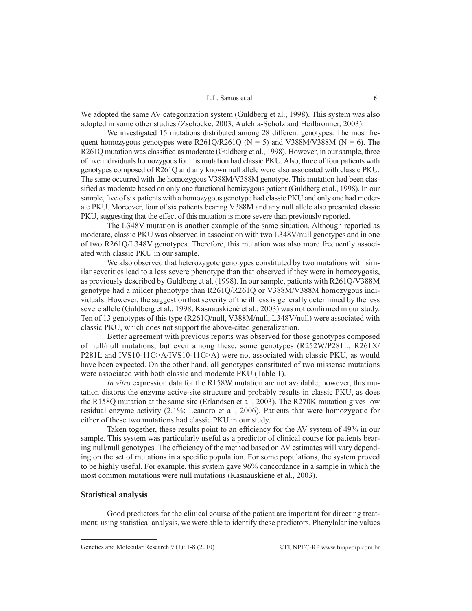We adopted the same AV categorization system (Guldberg et al., 1998). This system was also adopted in some other studies (Zschocke, 2003; Aulehla-Scholz and Heilbronner, 2003).

We investigated 15 mutations distributed among 28 different genotypes. The most frequent homozygous genotypes were R261Q/R261Q ( $N = 5$ ) and V388M/V388M ( $N = 6$ ). The R261Q mutation was classified as moderate (Guldberg et al., 1998). However, in our sample, three of five individuals homozygous for this mutation had classic PKU. Also, three of four patients with genotypes composed of R261Q and any known null allele were also associated with classic PKU. The same occurred with the homozygous V388M/V388M genotype. This mutation had been classified as moderate based on only one functional hemizygous patient (Guldberg et al., 1998). In our sample, five of six patients with a homozygous genotype had classic PKU and only one had moderate PKU. Moreover, four of six patients bearing V388M and any null allele also presented classic PKU, suggesting that the effect of this mutation is more severe than previously reported.

The L348V mutation is another example of the same situation. Although reported as moderate, classic PKU was observed in association with two L348V/null genotypes and in one of two R261Q/L348V genotypes. Therefore, this mutation was also more frequently associated with classic PKU in our sample.

We also observed that heterozygote genotypes constituted by two mutations with similar severities lead to a less severe phenotype than that observed if they were in homozygosis, as previously described by Guldberg et al. (1998). In our sample, patients with R261Q/V388M genotype had a milder phenotype than R261Q/R261Q or V388M/V388M homozygous individuals. However, the suggestion that severity of the illness is generally determined by the less severe allele (Guldberg et al., 1998; Kasnauskienė et al., 2003) was not confirmed in our study. Ten of 13 genotypes of this type (R261Q/null, V388M/null, L348V/null) were associated with classic PKU, which does not support the above-cited generalization.

Better agreement with previous reports was observed for those genotypes composed of null/null mutations, but even among these, some genotypes (R252W/P281L, R261X/ P281L and IVS10-11G>A/IVS10-11G>A) were not associated with classic PKU, as would have been expected. On the other hand, all genotypes constituted of two missense mutations were associated with both classic and moderate PKU (Table 1).

*In vitro* expression data for the R158W mutation are not available; however, this mutation distorts the enzyme active-site structure and probably results in classic PKU, as does the R158Q mutation at the same site (Erlandsen et al., 2003). The R270K mutation gives low residual enzyme activity (2.1%; Leandro et al., 2006). Patients that were homozygotic for either of these two mutations had classic PKU in our study.

Taken together, these results point to an efficiency for the AV system of 49% in our sample. This system was particularly useful as a predictor of clinical course for patients bearing null/null genotypes. The efficiency of the method based on AV estimates will vary depending on the set of mutations in a specific population. For some populations, the system proved to be highly useful. For example, this system gave 96% concordance in a sample in which the most common mutations were null mutations (Kasnauskienė et al., 2003).

## **Statistical analysis**

Good predictors for the clinical course of the patient are important for directing treatment; using statistical analysis, we were able to identify these predictors. Phenylalanine values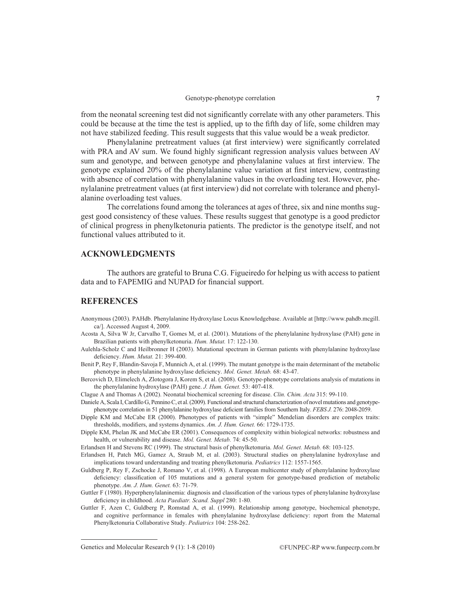from the neonatal screening test did not significantly correlate with any other parameters. This could be because at the time the test is applied, up to the fifth day of life, some children may not have stabilized feeding. This result suggests that this value would be a weak predictor.

Phenylalanine pretreatment values (at first interview) were significantly correlated with PRA and AV sum. We found highly significant regression analysis values between AV sum and genotype, and between genotype and phenylalanine values at first interview. The genotype explained 20% of the phenylalanine value variation at first interview, contrasting with absence of correlation with phenylalanine values in the overloading test. However, phenylalanine pretreatment values (at first interview) did not correlate with tolerance and phenylalanine overloading test values.

The correlations found among the tolerances at ages of three, six and nine months suggest good consistency of these values. These results suggest that genotype is a good predictor of clinical progress in phenylketonuria patients. The predictor is the genotype itself, and not functional values attributed to it.

## **ACKNOWLEDGMENTS**

The authors are grateful to Bruna C.G. Figueiredo for helping us with access to patient data and to FAPEMIG and NUPAD for financial support.

## **REFERENCES**

- Anonymous (2003). PAHdb. Phenylalanine Hydroxylase Locus Knowledgebase. Available at [http://www.pahdb.mcgill. ca/]. Accessed August 4, 2009.
- Acosta A, Silva W Jr, Carvalho T, Gomes M, et al. (2001). Mutations of the phenylalanine hydroxylase (PAH) gene in Brazilian patients with phenylketonuria. *Hum. Mutat.* 17: 122-130.
- Aulehla-Scholz C and Heilbronner H (2003). Mutational spectrum in German patients with phenylalanine hydroxylase deficiency. *Hum. Mutat.* 21: 399-400.
- Benit P, Rey F, Blandin-Savoja F, Munnich A, et al. (1999). The mutant genotype is the main determinant of the metabolic phenotype in phenylalanine hydroxylase deficiency. *Mol. Genet. Metab.* 68: 43-47.
- Bercovich D, Elimelech A, Zlotogora J, Korem S, et al. (2008). Genotype-phenotype correlations analysis of mutations in the phenylalanine hydroxylase (PAH) gene. *J. Hum. Genet.* 53: 407-418.

Clague A and Thomas A (2002). Neonatal biochemical screening for disease. *Clin. Chim. Acta* 315: 99-110.

- Daniele A, Scala I, Cardillo G, Pennino C, et al. (2009). Functional and structural characterization of novel mutations and genotypephenotype correlation in 51 phenylalanine hydroxylase deficient families from Southern Italy. *FEBS J.* 276: 2048-2059.
- Dipple KM and McCabe ER (2000). Phenotypes of patients with "simple" Mendelian disorders are complex traits: thresholds, modifiers, and systems dynamics. *Am. J. Hum. Genet.* 66: 1729-1735.
- Dipple KM, Phelan JK and McCabe ER (2001). Consequences of complexity within biological networks: robustness and health, or vulnerability and disease. *Mol. Genet. Metab.* 74: 45-50.

Erlandsen H and Stevens RC (1999). The structural basis of phenylketonuria. *Mol. Genet. Metab.* 68: 103-125.

- Erlandsen H, Patch MG, Gamez A, Straub M, et al. (2003). Structural studies on phenylalanine hydroxylase and implications toward understanding and treating phenylketonuria. *Pediatrics* 112: 1557-1565.
- Guldberg P, Rey F, Zschocke J, Romano V, et al. (1998). A European multicenter study of phenylalanine hydroxylase deficiency: classification of 105 mutations and a general system for genotype-based prediction of metabolic phenotype. *Am. J. Hum. Genet.* 63: 71-79.
- Guttler F (1980). Hyperphenylalaninemia: diagnosis and classification of the various types of phenylalanine hydroxylase deficiency in childhood. *Acta Paediatr. Scand. Suppl* 280: 1-80.
- Guttler F, Azen C, Guldberg P, Romstad A, et al. (1999). Relationship among genotype, biochemical phenotype, and cognitive performance in females with phenylalanine hydroxylase deficiency: report from the Maternal Phenylketonuria Collaborative Study. *Pediatrics* 104: 258-262.

Genetics and Molecular Research 9 (1): 1-8 (2010) ©FUNPEC-RP www.funpecrp.com.br